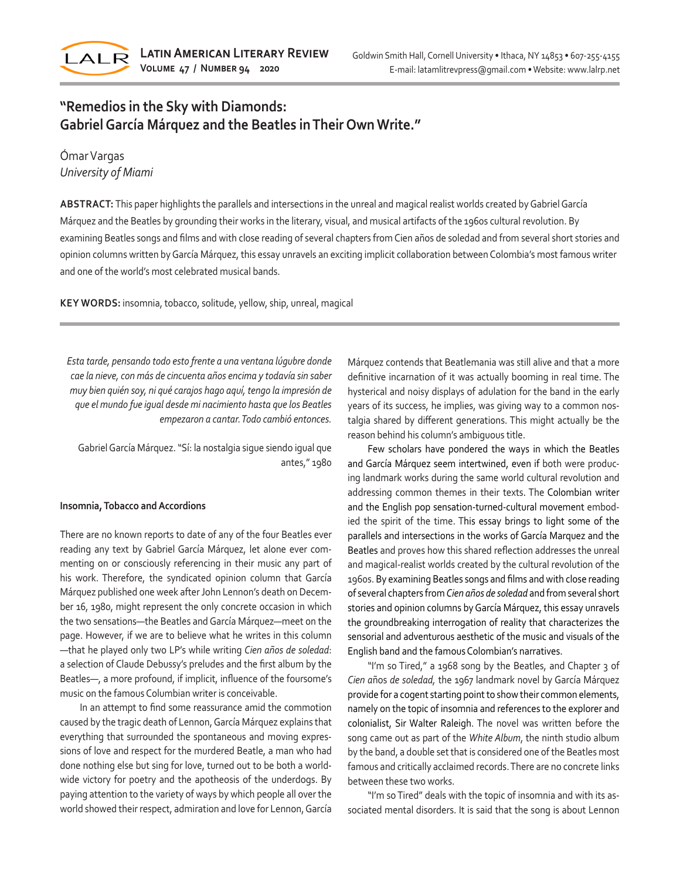

# **"Remedios in the Sky with Diamonds: Gabriel García Márquez and the Beatles in Their Own Write."**

# Ómar Vargas *University of Miami*

**ABSTRACT:** This paper highlights the parallels and intersections in the unreal and magical realist worlds created by Gabriel García Márquez and the Beatles by grounding their works in the literary, visual, and musical artifacts of the 1960s cultural revolution. By examining Beatles songs and films and with close reading of several chapters from Cien años de soledad and from several short stories and opinion columns written by García Márquez, this essay unravels an exciting implicit collaboration between Colombia's most famous writer and one of the world's most celebrated musical bands.

**KEY WORDS:** insomnia, tobacco, solitude, yellow, ship, unreal, magical

*Esta tarde, pensando todo esto frente a una ventana lúgubre donde cae la nieve, con más de cincuenta años encima y todavía sin saber muy bien quién soy, ni qué carajos hago aquí, tengo la impresión de que el mundo fue igual desde mi nacimiento hasta que los Beatles empezaron a cantar. Todo cambió entonces.* 

Gabriel García Márquez. "Sí: la nostalgia sigue siendo igual que antes," 1980

## **Insomnia, Tobacco and Accordions**

There are no known reports to date of any of the four Beatles ever reading any text by Gabriel García Márquez, let alone ever commenting on or consciously referencing in their music any part of his work. Therefore, the syndicated opinion column that García Márquez published one week after John Lennon's death on December 16, 1980, might represent the only concrete occasion in which the two sensations—the Beatles and García Márquez—meet on the page. However, if we are to believe what he writes in this column —that he played only two LP's while writing *Cien años de soledad*: a selection of Claude Debussy's preludes and the first album by the Beatles—, a more profound, if implicit, influence of the foursome's music on the famous Columbian writer is conceivable.

In an attempt to find some reassurance amid the commotion caused by the tragic death of Lennon, García Márquez explains that everything that surrounded the spontaneous and moving expressions of love and respect for the murdered Beatle, a man who had done nothing else but sing for love, turned out to be both a worldwide victory for poetry and the apotheosis of the underdogs. By paying attention to the variety of ways by which people all over the world showed their respect, admiration and love for Lennon, García Márquez contends that Beatlemania was still alive and that a more definitive incarnation of it was actually booming in real time. The hysterical and noisy displays of adulation for the band in the early years of its success, he implies, was giving way to a common nostalgia shared by different generations. This might actually be the reason behind his column's ambiguous title.

Few scholars have pondered the ways in which the Beatles and García Márquez seem intertwined, even if both were producing landmark works during the same world cultural revolution and addressing common themes in their texts. The Colombian writer and the English pop sensation-turned-cultural movement embodied the spirit of the time. This essay brings to light some of the parallels and intersections in the works of García Marquez and the Beatles and proves how this shared reflection addresses the unreal and magical-realist worlds created by the cultural revolution of the 1960s. By examining Beatles songs and films and with close reading of several chapters from *Cien años de soledad* and from several short stories and opinion columns by García Márquez, this essay unravels the groundbreaking interrogation of reality that characterizes the sensorial and adventurous aesthetic of the music and visuals of the English band and the famous Colombian's narratives.

"I'm so Tired," a 1968 song by the Beatles, and Chapter 3 of *Cien a*ños *de soledad,* the 1967 landmark novel by García Márquez provide for a cogent starting point to show their common elements, namely on the topic of insomnia and references to the explorer and colonialist, Sir Walter Raleigh. The novel was written before the song came out as part of the *White Album*, the ninth studio album by the band, a double set that is considered one of the Beatles most famous and critically acclaimed records. There are no concrete links between these two works.

"I'm so Tired" deals with the topic of insomnia and with its associated mental disorders. It is said that the song is about Lennon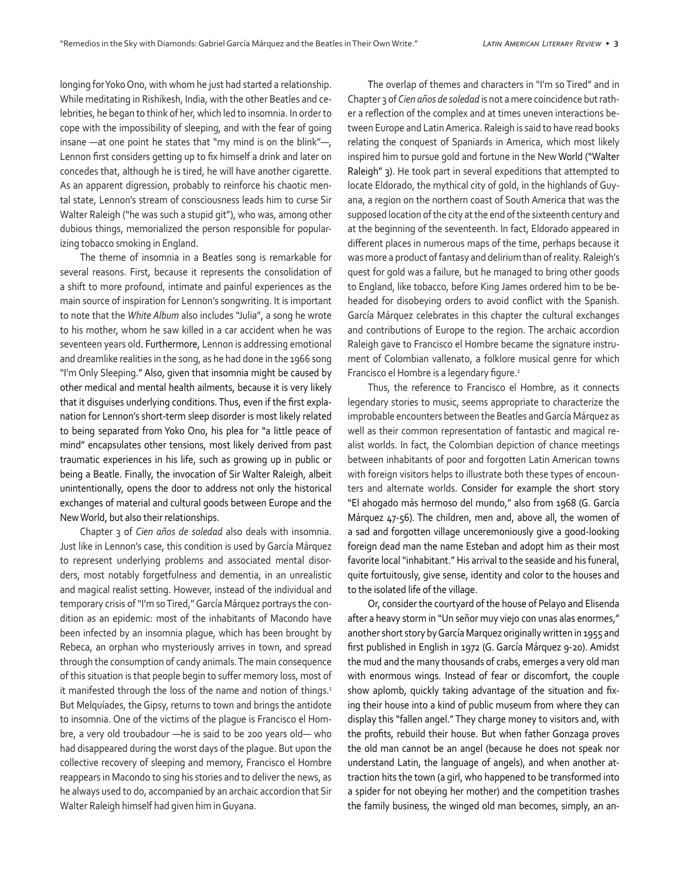longing for Yoko Ono, with whom he just had started a relationship. While meditating in Rishikesh, India, with the other Beatles and celebrities, he began to think of her, which led to insomnia. In order to cope with the impossibility of sleeping, and with the fear of going insane —at one point he states that "my mind is on the blink"—, Lennon first considers getting up to fix himself a drink and later on concedes that, although he is tired, he will have another cigarette. As an apparent digression, probably to reinforce his chaotic mental state, Lennon's stream of consciousness leads him to curse Sir Walter Raleigh ("he was such a stupid git"), who was, among other dubious things, memorialized the person responsible for popularizing tobacco smoking in England.

The theme of insomnia in a Beatles song is remarkable for several reasons. First, because it represents the consolidation of a shift to more profound, intimate and painful experiences as the main source of inspiration for Lennon's songwriting. It is important to note that the *White Album* also includes "Julia", a song he wrote to his mother, whom he saw killed in a car accident when he was seventeen years old. Furthermore, Lennon is addressing emotional and dreamlike realities in the song, as he had done in the 1966 song "I'm Only Sleeping." Also, given that insomnia might be caused by other medical and mental health ailments, because it is very likely that it disguises underlying conditions. Thus, even if the first explanation for Lennon's short-term sleep disorder is most likely related to being separated from Yoko Ono, his plea for "a little peace of mind" encapsulates other tensions, most likely derived from past traumatic experiences in his life, such as growing up in public or being a Beatle. Finally, the invocation of Sir Walter Raleigh, albeit unintentionally, opens the door to address not only the historical exchanges of material and cultural goods between Europe and the New World, but also their relationships.

Chapter 3 of *Cien años de soledad* also deals with insomnia. Just like in Lennon's case, this condition is used by García Márquez to represent underlying problems and associated mental disorders, most notably forgetfulness and dementia, in an unrealistic and magical realist setting. However, instead of the individual and temporary crisis of "I'm so Tired," García Márquez portrays the condition as an epidemic: most of the inhabitants of Macondo have been infected by an insomnia plague, which has been brought by Rebeca, an orphan who mysteriously arrives in town, and spread through the consumption of candy animals. The main consequence of this situation is that people begin to suffer memory loss, most of it manifested through the loss of the name and notion of things.<sup>1</sup> But Melquíades, the Gipsy, returns to town and brings the antidote to insomnia. One of the victims of the plague is Francisco el Hombre, a very old troubadour —he is said to be 200 years old— who had disappeared during the worst days of the plague. But upon the collective recovery of sleeping and memory, Francisco el Hombre reappears in Macondo to sing his stories and to deliver the news, as he always used to do, accompanied by an archaic accordion that Sir Walter Raleigh himself had given him in Guyana.

The overlap of themes and characters in "I'm so Tired" and in Chapter 3 of *Cien años de soledad* is not a mere coincidence but rather a reflection of the complex and at times uneven interactions between Europe and Latin America. Raleigh is said to have read books relating the conquest of Spaniards in America, which most likely inspired him to pursue gold and fortune in the New World ("Walter Raleigh" 3). He took part in several expeditions that attempted to locate Eldorado, the mythical city of gold, in the highlands of Guyana, a region on the northern coast of South America that was the supposed location of the city at the end of the sixteenth century and at the beginning of the seventeenth. In fact, Eldorado appeared in different places in numerous maps of the time, perhaps because it was more a product of fantasy and delirium than of reality. Raleigh's quest for gold was a failure, but he managed to bring other goods to England, like tobacco, before King James ordered him to be beheaded for disobeying orders to avoid conflict with the Spanish. García Márquez celebrates in this chapter the cultural exchanges and contributions of Europe to the region. The archaic accordion Raleigh gave to Francisco el Hombre became the signature instrument of Colombian vallenato, a folklore musical genre for which Francisco el Hombre is a legendary figure.<sup>2</sup>

Thus, the reference to Francisco el Hombre, as it connects legendary stories to music, seems appropriate to characterize the improbable encounters between the Beatles and García Márquez as well as their common representation of fantastic and magical realist worlds. In fact, the Colombian depiction of chance meetings between inhabitants of poor and forgotten Latin American towns with foreign visitors helps to illustrate both these types of encounters and alternate worlds. Consider for example the short story "El ahogado más hermoso del mundo," also from 1968 (G. García Márquez 47-56). The children, men and, above all, the women of a sad and forgotten village unceremoniously give a good-looking foreign dead man the name Esteban and adopt him as their most favorite local "inhabitant." His arrival to the seaside and his funeral, quite fortuitously, give sense, identity and color to the houses and to the isolated life of the village.

Or, consider the courtyard of the house of Pelayo and Elisenda after a heavy storm in "Un señor muy viejo con unas alas enormes," another short story by García Marquez originally written in 1955 and first published in English in 1972 (G. García Márquez 9-20). Amidst the mud and the many thousands of crabs, emerges a very old man with enormous wings. Instead of fear or discomfort, the couple show aplomb, quickly taking advantage of the situation and fixing their house into a kind of public museum from where they can display this "fallen angel." They charge money to visitors and, with the profits, rebuild their house. But when father Gonzaga proves the old man cannot be an angel (because he does not speak nor understand Latin, the language of angels), and when another attraction hits the town (a girl, who happened to be transformed into a spider for not obeying her mother) and the competition trashes the family business, the winged old man becomes, simply, an an-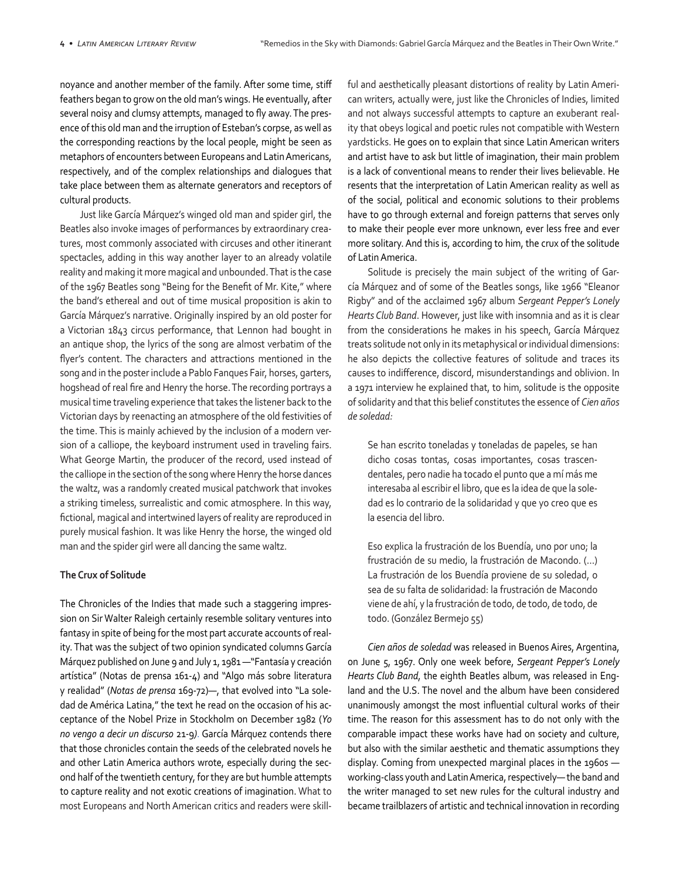noyance and another member of the family. After some time, stiff feathers began to grow on the old man's wings. He eventually, after several noisy and clumsy attempts, managed to fly away. The presence of this old man and the irruption of Esteban's corpse, as well as the corresponding reactions by the local people, might be seen as metaphors of encounters between Europeans and Latin Americans, respectively, and of the complex relationships and dialogues that take place between them as alternate generators and receptors of cultural products.

Just like García Márquez's winged old man and spider girl, the Beatles also invoke images of performances by extraordinary creatures, most commonly associated with circuses and other itinerant spectacles, adding in this way another layer to an already volatile reality and making it more magical and unbounded. That is the case of the 1967 Beatles song "Being for the Benefit of Mr. Kite," where the band's ethereal and out of time musical proposition is akin to García Márquez's narrative. Originally inspired by an old poster for a Victorian 1843 circus performance, that Lennon had bought in an antique shop, the lyrics of the song are almost verbatim of the flyer's content. The characters and attractions mentioned in the song and in the poster include a Pablo Fanques Fair, horses, garters, hogshead of real fire and Henry the horse. The recording portrays a musical time traveling experience that takes the listener back to the Victorian days by reenacting an atmosphere of the old festivities of the time. This is mainly achieved by the inclusion of a modern version of a calliope, the keyboard instrument used in traveling fairs. What George Martin, the producer of the record, used instead of the calliope in the section of the song where Henry the horse dances the waltz, was a randomly created musical patchwork that invokes a striking timeless, surrealistic and comic atmosphere. In this way, fictional, magical and intertwined layers of reality are reproduced in purely musical fashion. It was like Henry the horse, the winged old man and the spider girl were all dancing the same waltz.

# **The Crux of Solitude**

The Chronicles of the Indies that made such a staggering impression on Sir Walter Raleigh certainly resemble solitary ventures into fantasy in spite of being for the most part accurate accounts of reality. That was the subject of two opinion syndicated columns García Márquez published on June 9 and July 1, 1981 —"Fantasía y creación artística" (Notas de prensa 161-4) and "Algo más sobre literatura y realidad" (*Notas de prensa* 169-72)—, that evolved into "La soledad de América Latina," the text he read on the occasion of his acceptance of the Nobel Prize in Stockholm on December 1982 (*Yo no vengo a decir un discurso* 21-9*)*. García Márquez contends there that those chronicles contain the seeds of the celebrated novels he and other Latin America authors wrote, especially during the second half of the twentieth century, for they are but humble attempts to capture reality and not exotic creations of imagination. What to most Europeans and North American critics and readers were skillful and aesthetically pleasant distortions of reality by Latin American writers, actually were, just like the Chronicles of Indies, limited and not always successful attempts to capture an exuberant reality that obeys logical and poetic rules not compatible with Western yardsticks. He goes on to explain that since Latin American writers and artist have to ask but little of imagination, their main problem is a lack of conventional means to render their lives believable. He resents that the interpretation of Latin American reality as well as of the social, political and economic solutions to their problems have to go through external and foreign patterns that serves only to make their people ever more unknown, ever less free and ever more solitary. And this is, according to him, the crux of the solitude of Latin America.

Solitude is precisely the main subject of the writing of García Márquez and of some of the Beatles songs, like 1966 "Eleanor Rigby" and of the acclaimed 1967 album *Sergeant Pepper's Lonely Hearts Club Band*. However, just like with insomnia and as it is clear from the considerations he makes in his speech, García Márquez treats solitude not only in its metaphysical or individual dimensions: he also depicts the collective features of solitude and traces its causes to indifference, discord, misunderstandings and oblivion. In a 1971 interview he explained that, to him, solitude is the opposite of solidarity and that this belief constitutes the essence of *Cien años de soledad:*

Se han escrito toneladas y toneladas de papeles, se han dicho cosas tontas, cosas importantes, cosas trascendentales, pero nadie ha tocado el punto que a mí más me interesaba al escribir el libro, que es la idea de que la soledad es lo contrario de la solidaridad y que yo creo que es la esencia del libro.

Eso explica la frustración de los Buendía, uno por uno; la frustración de su medio, la frustración de Macondo. (...) La frustración de los Buendía proviene de su soledad, o sea de su falta de solidaridad: la frustración de Macondo viene de ahí, y la frustración de todo, de todo, de todo, de todo. (González Bermejo 55)

*Cien años de soledad* was released in Buenos Aires, Argentina, on June 5, 1967. Only one week before, *Sergeant Pepper's Lonely Hearts Club Band*, the eighth Beatles album, was released in England and the U.S. The novel and the album have been considered unanimously amongst the most influential cultural works of their time. The reason for this assessment has to do not only with the comparable impact these works have had on society and culture, but also with the similar aesthetic and thematic assumptions they display. Coming from unexpected marginal places in the 1960s working-class youth and Latin America, respectively— the band and the writer managed to set new rules for the cultural industry and became trailblazers of artistic and technical innovation in recording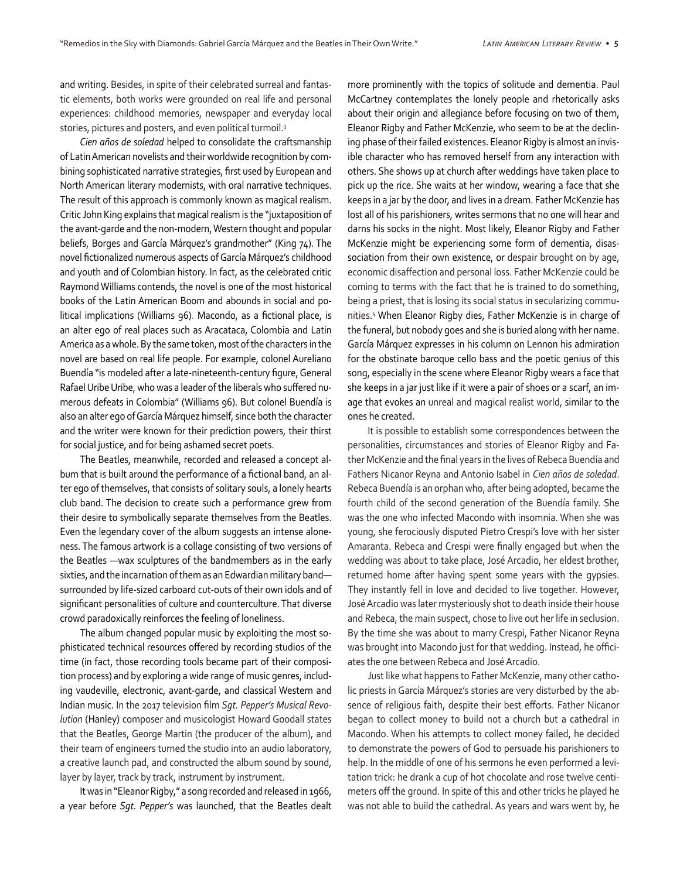and writing. Besides, in spite of their celebrated surreal and fantastic elements, both works were grounded on real life and personal experiences: childhood memories, newspaper and everyday local stories, pictures and posters, and even political turmoil.<sup>3</sup>

*Cien años de soledad* helped to consolidate the craftsmanship of Latin American novelists and their worldwide recognition by combining sophisticated narrative strategies, first used by European and North American literary modernists, with oral narrative techniques. The result of this approach is commonly known as magical realism. Critic John King explains that magical realism is the "juxtaposition of the avant-garde and the non-modern, Western thought and popular beliefs, Borges and García Márquez's grandmother" (King 74). The novel fictionalized numerous aspects of García Márquez's childhood and youth and of Colombian history. In fact, as the celebrated critic Raymond Williams contends, the novel is one of the most historical books of the Latin American Boom and abounds in social and political implications (Williams 96). Macondo, as a fictional place, is an alter ego of real places such as Aracataca, Colombia and Latin America as a whole. By the same token, most of the characters in the novel are based on real life people. For example, colonel Aureliano Buendía "is modeled after a late-nineteenth-century figure, General Rafael Uribe Uribe, who was a leader of the liberals who suffered numerous defeats in Colombia" (Williams 96). But colonel Buendía is also an alter ego of García Márquez himself, since both the character and the writer were known for their prediction powers, their thirst for social justice, and for being ashamed secret poets.

The Beatles, meanwhile, recorded and released a concept album that is built around the performance of a fictional band, an alter ego of themselves, that consists of solitary souls, a lonely hearts club band. The decision to create such a performance grew from their desire to symbolically separate themselves from the Beatles. Even the legendary cover of the album suggests an intense aloneness. The famous artwork is a collage consisting of two versions of the Beatles —wax sculptures of the bandmembers as in the early sixties, and the incarnation of them as an Edwardian military band surrounded by life-sized carboard cut-outs of their own idols and of significant personalities of culture and counterculture. That diverse crowd paradoxically reinforces the feeling of loneliness.

The album changed popular music by exploiting the most sophisticated technical resources offered by recording studios of the time (in fact, those recording tools became part of their composition process) and by exploring a wide range of music genres, including vaudeville, electronic, avant-garde, and classical Western and Indian music. In the 2017 television film *Sgt. Pepper's Musical Revolution* (Hanley) composer and musicologist Howard Goodall states that the Beatles, George Martin (the producer of the album), and their team of engineers turned the studio into an audio laboratory, a creative launch pad, and constructed the album sound by sound, layer by layer, track by track, instrument by instrument.

It was in "Eleanor Rigby," a song recorded and released in 1966, a year before *Sgt. Pepper's* was launched, that the Beatles dealt more prominently with the topics of solitude and dementia. Paul McCartney contemplates the lonely people and rhetorically asks about their origin and allegiance before focusing on two of them, Eleanor Rigby and Father McKenzie, who seem to be at the declining phase of their failed existences. Eleanor Rigby is almost an invisible character who has removed herself from any interaction with others. She shows up at church after weddings have taken place to pick up the rice. She waits at her window, wearing a face that she keeps in a jar by the door, and lives in a dream. Father McKenzie has lost all of his parishioners, writes sermons that no one will hear and darns his socks in the night. Most likely, Eleanor Rigby and Father McKenzie might be experiencing some form of dementia, disassociation from their own existence, or despair brought on by age, economic disaffection and personal loss. Father McKenzie could be coming to terms with the fact that he is trained to do something, being a priest, that is losing its social status in secularizing communities. 4 When Eleanor Rigby dies, Father McKenzie is in charge of the funeral, but nobody goes and she is buried along with her name. García Márquez expresses in his column on Lennon his admiration for the obstinate baroque cello bass and the poetic genius of this song, especially in the scene where Eleanor Rigby wears a face that she keeps in a jar just like if it were a pair of shoes or a scarf, an image that evokes an unreal and magical realist world, similar to the ones he created.

It is possible to establish some correspondences between the personalities, circumstances and stories of Eleanor Rigby and Father McKenzie and the final years in the lives of Rebeca Buendía and Fathers Nicanor Reyna and Antonio Isabel in *Cien años de soledad*. Rebeca Buendía is an orphan who, after being adopted, became the fourth child of the second generation of the Buendía family. She was the one who infected Macondo with insomnia. When she was young, she ferociously disputed Pietro Crespi's love with her sister Amaranta. Rebeca and Crespi were finally engaged but when the wedding was about to take place, José Arcadio, her eldest brother, returned home after having spent some years with the gypsies. They instantly fell in love and decided to live together. However, José Arcadio was later mysteriously shot to death inside their house and Rebeca, the main suspect, chose to live out her life in seclusion. By the time she was about to marry Crespi, Father Nicanor Reyna was brought into Macondo just for that wedding. Instead, he officiates the one between Rebeca and José Arcadio.

Just like what happens to Father McKenzie, many other catholic priests in García Márquez's stories are very disturbed by the absence of religious faith, despite their best efforts. Father Nicanor began to collect money to build not a church but a cathedral in Macondo. When his attempts to collect money failed, he decided to demonstrate the powers of God to persuade his parishioners to help. In the middle of one of his sermons he even performed a levitation trick: he drank a cup of hot chocolate and rose twelve centimeters off the ground. In spite of this and other tricks he played he was not able to build the cathedral. As years and wars went by, he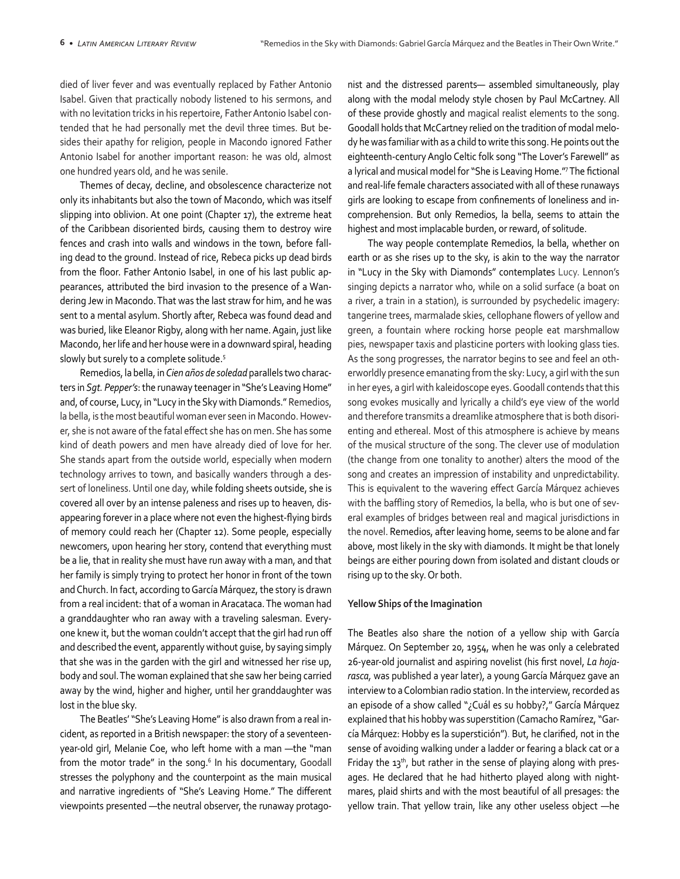died of liver fever and was eventually replaced by Father Antonio Isabel. Given that practically nobody listened to his sermons, and with no levitation tricks in his repertoire, Father Antonio Isabel contended that he had personally met the devil three times. But besides their apathy for religion, people in Macondo ignored Father Antonio Isabel for another important reason: he was old, almost one hundred years old, and he was senile.

Themes of decay, decline, and obsolescence characterize not only its inhabitants but also the town of Macondo, which was itself slipping into oblivion. At one point (Chapter 17), the extreme heat of the Caribbean disoriented birds, causing them to destroy wire fences and crash into walls and windows in the town, before falling dead to the ground. Instead of rice, Rebeca picks up dead birds from the floor. Father Antonio Isabel, in one of his last public appearances, attributed the bird invasion to the presence of a Wandering Jew in Macondo. That was the last straw for him, and he was sent to a mental asylum. Shortly after, Rebeca was found dead and was buried, like Eleanor Rigby, along with her name. Again, just like Macondo, her life and her house were in a downward spiral, heading slowly but surely to a complete solitude.<sup>5</sup>

Remedios, la bella, in *Cien años de soledad* parallels two characters in *Sgt. Pepper's*: the runaway teenager in "She's Leaving Home" and, of course, Lucy, in "Lucy in the Sky with Diamonds." Remedios, la bella, is the most beautiful woman ever seen in Macondo. However, she is not aware of the fatal effect she has on men. She has some kind of death powers and men have already died of love for her. She stands apart from the outside world, especially when modern technology arrives to town, and basically wanders through a dessert of loneliness. Until one day, while folding sheets outside, she is covered all over by an intense paleness and rises up to heaven, disappearing forever in a place where not even the highest-flying birds of memory could reach her (Chapter 12). Some people, especially newcomers, upon hearing her story, contend that everything must be a lie, that in reality she must have run away with a man, and that her family is simply trying to protect her honor in front of the town and Church. In fact, according to García Márquez, the story is drawn from a real incident: that of a woman in Aracataca. The woman had a granddaughter who ran away with a traveling salesman. Everyone knew it, but the woman couldn't accept that the girl had run off and described the event, apparently without guise, by saying simply that she was in the garden with the girl and witnessed her rise up, body and soul. The woman explained that she saw her being carried away by the wind, higher and higher, until her granddaughter was lost in the blue sky.

The Beatles' "She's Leaving Home" is also drawn from a real incident, as reported in a British newspaper: the story of a seventeenyear-old girl, Melanie Coe, who left home with a man —the "man from the motor trade" in the song.<sup>6</sup> In his documentary, Goodall stresses the polyphony and the counterpoint as the main musical and narrative ingredients of "She's Leaving Home." The different viewpoints presented —the neutral observer, the runaway protagonist and the distressed parents— assembled simultaneously, play along with the modal melody style chosen by Paul McCartney. All of these provide ghostly and magical realist elements to the song. Goodall holds that McCartney relied on the tradition of modal melody he was familiar with as a child to write this song. He points out the eighteenth-century Anglo Celtic folk song "The Lover's Farewell" as a lyrical and musical model for "She is Leaving Home."7The fictional and real-life female characters associated with all of these runaways girls are looking to escape from confinements of loneliness and incomprehension. But only Remedios, la bella, seems to attain the highest and most implacable burden, or reward, of solitude.

The way people contemplate Remedios, la bella, whether on earth or as she rises up to the sky, is akin to the way the narrator in "Lucy in the Sky with Diamonds" contemplates Lucy. Lennon's singing depicts a narrator who, while on a solid surface (a boat on a river, a train in a station), is surrounded by psychedelic imagery: tangerine trees, marmalade skies, cellophane flowers of yellow and green, a fountain where rocking horse people eat marshmallow pies, newspaper taxis and plasticine porters with looking glass ties. As the song progresses, the narrator begins to see and feel an otherworldly presence emanating from the sky: Lucy, a girl with the sun in her eyes, a girl with kaleidoscope eyes. Goodall contends that this song evokes musically and lyrically a child's eye view of the world and therefore transmits a dreamlike atmosphere that is both disorienting and ethereal. Most of this atmosphere is achieve by means of the musical structure of the song. The clever use of modulation (the change from one tonality to another) alters the mood of the song and creates an impression of instability and unpredictability. This is equivalent to the wavering effect García Márquez achieves with the baffling story of Remedios, la bella, who is but one of several examples of bridges between real and magical jurisdictions in the novel. Remedios, after leaving home, seems to be alone and far above, most likely in the sky with diamonds. It might be that lonely beings are either pouring down from isolated and distant clouds or rising up to the sky. Or both.

#### **Yellow Ships of the Imagination**

The Beatles also share the notion of a yellow ship with García Márquez. On September 20, 1954, when he was only a celebrated 26-year-old journalist and aspiring novelist (his first novel, *La hojarasca,* was published a year later), a young García Márquez gave an interview to a Colombian radio station. In the interview, recorded as an episode of a show called "¿Cuál es su hobby?," García Márquez explained that his hobby was superstition (Camacho Ramírez, "García Márquez: Hobby es la superstición"). But, he clarified, not in the sense of avoiding walking under a ladder or fearing a black cat or a Friday the  $13<sup>th</sup>$ , but rather in the sense of playing along with presages. He declared that he had hitherto played along with nightmares, plaid shirts and with the most beautiful of all presages: the yellow train. That yellow train, like any other useless object —he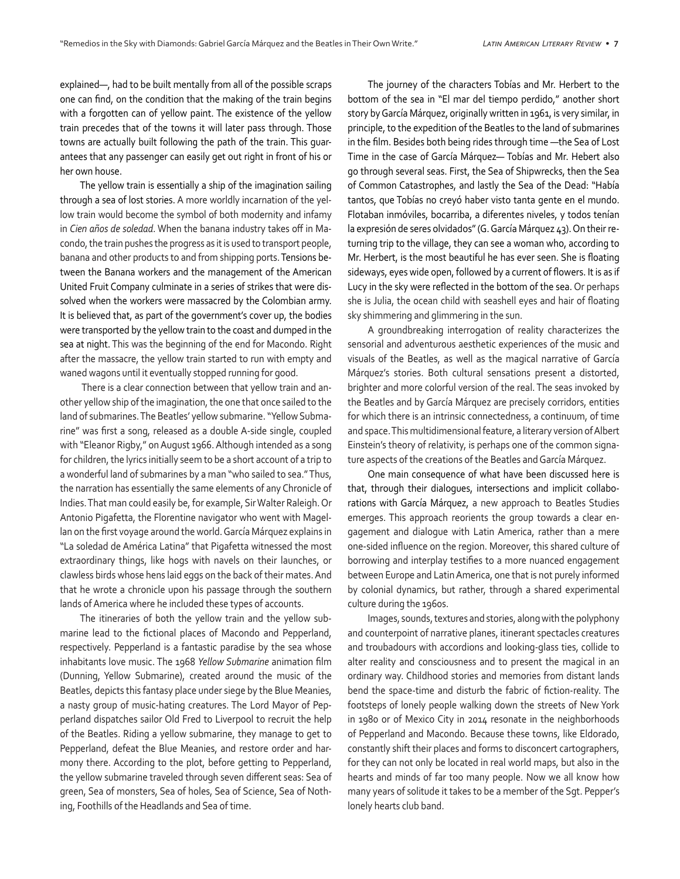explained—, had to be built mentally from all of the possible scraps one can find, on the condition that the making of the train begins with a forgotten can of yellow paint. The existence of the yellow train precedes that of the towns it will later pass through. Those towns are actually built following the path of the train. This guarantees that any passenger can easily get out right in front of his or her own house.

The yellow train is essentially a ship of the imagination sailing through a sea of lost stories. A more worldly incarnation of the yellow train would become the symbol of both modernity and infamy in *Cien años de soledad*. When the banana industry takes off in Macondo, the train pushes the progress as it is used to transport people, banana and other products to and from shipping ports. Tensions between the Banana workers and the management of the American United Fruit Company culminate in a series of strikes that were dissolved when the workers were massacred by the Colombian army. It is believed that, as part of the government's cover up, the bodies were transported by the yellow train to the coast and dumped in the sea at night. This was the beginning of the end for Macondo. Right after the massacre, the yellow train started to run with empty and waned wagons until it eventually stopped running for good.

 There is a clear connection between that yellow train and another yellow ship of the imagination, the one that once sailed to the land of submarines. The Beatles' yellow submarine. "Yellow Submarine" was first a song, released as a double A-side single, coupled with "Eleanor Rigby," on August 1966. Although intended as a song for children, the lyrics initially seem to be a short account of a trip to a wonderful land of submarines by a man "who sailed to sea." Thus, the narration has essentially the same elements of any Chronicle of Indies. That man could easily be, for example, Sir Walter Raleigh. Or Antonio Pigafetta, the Florentine navigator who went with Magellan on the first voyage around the world. García Márquez explains in "La soledad de América Latina" that Pigafetta witnessed the most extraordinary things, like hogs with navels on their launches, or clawless birds whose hens laid eggs on the back of their mates. And that he wrote a chronicle upon his passage through the southern lands of America where he included these types of accounts.

The itineraries of both the yellow train and the yellow submarine lead to the fictional places of Macondo and Pepperland, respectively. Pepperland is a fantastic paradise by the sea whose inhabitants love music. The 1968 *Yellow Submarine* animation film (Dunning, Yellow Submarine), created around the music of the Beatles, depicts this fantasy place under siege by the Blue Meanies, a nasty group of music-hating creatures. The Lord Mayor of Pepperland dispatches sailor Old Fred to Liverpool to recruit the help of the Beatles. Riding a yellow submarine, they manage to get to Pepperland, defeat the Blue Meanies, and restore order and harmony there. According to the plot, before getting to Pepperland, the yellow submarine traveled through seven different seas: Sea of green, Sea of monsters, Sea of holes, Sea of Science, Sea of Nothing, Foothills of the Headlands and Sea of time.

The journey of the characters Tobías and Mr. Herbert to the bottom of the sea in "El mar del tiempo perdido," another short story by García Márquez, originally written in 1961, is very similar, in principle, to the expedition of the Beatles to the land of submarines in the film. Besides both being rides through time —the Sea of Lost Time in the case of García Márquez— Tobías and Mr. Hebert also go through several seas. First, the Sea of Shipwrecks, then the Sea of Common Catastrophes, and lastly the Sea of the Dead: "Había tantos, que Tobías no creyó haber visto tanta gente en el mundo. Flotaban inmóviles, bocarriba, a diferentes niveles, y todos tenían la expresión de seres olvidados" (G. García Márquez 43). On their returning trip to the village, they can see a woman who, according to Mr. Herbert, is the most beautiful he has ever seen. She is floating sideways, eyes wide open, followed by a current of flowers. It is as if Lucy in the sky were reflected in the bottom of the sea. Or perhaps she is Julia, the ocean child with seashell eyes and hair of floating sky shimmering and glimmering in the sun.

A groundbreaking interrogation of reality characterizes the sensorial and adventurous aesthetic experiences of the music and visuals of the Beatles, as well as the magical narrative of García Márquez's stories. Both cultural sensations present a distorted, brighter and more colorful version of the real. The seas invoked by the Beatles and by García Márquez are precisely corridors, entities for which there is an intrinsic connectedness, a continuum, of time and space. This multidimensional feature, a literary version of Albert Einstein's theory of relativity, is perhaps one of the common signature aspects of the creations of the Beatles and García Márquez.

One main consequence of what have been discussed here is that, through their dialogues, intersections and implicit collaborations with García Márquez, a new approach to Beatles Studies emerges. This approach reorients the group towards a clear engagement and dialogue with Latin America, rather than a mere one-sided influence on the region. Moreover, this shared culture of borrowing and interplay testifies to a more nuanced engagement between Europe and Latin America, one that is not purely informed by colonial dynamics, but rather, through a shared experimental culture during the 1960s.

Images, sounds, textures and stories, along with the polyphony and counterpoint of narrative planes, itinerant spectacles creatures and troubadours with accordions and looking-glass ties, collide to alter reality and consciousness and to present the magical in an ordinary way. Childhood stories and memories from distant lands bend the space-time and disturb the fabric of fiction-reality. The footsteps of lonely people walking down the streets of New York in 1980 or of Mexico City in 2014 resonate in the neighborhoods of Pepperland and Macondo. Because these towns, like Eldorado, constantly shift their places and forms to disconcert cartographers, for they can not only be located in real world maps, but also in the hearts and minds of far too many people. Now we all know how many years of solitude it takes to be a member of the Sgt. Pepper's lonely hearts club band.